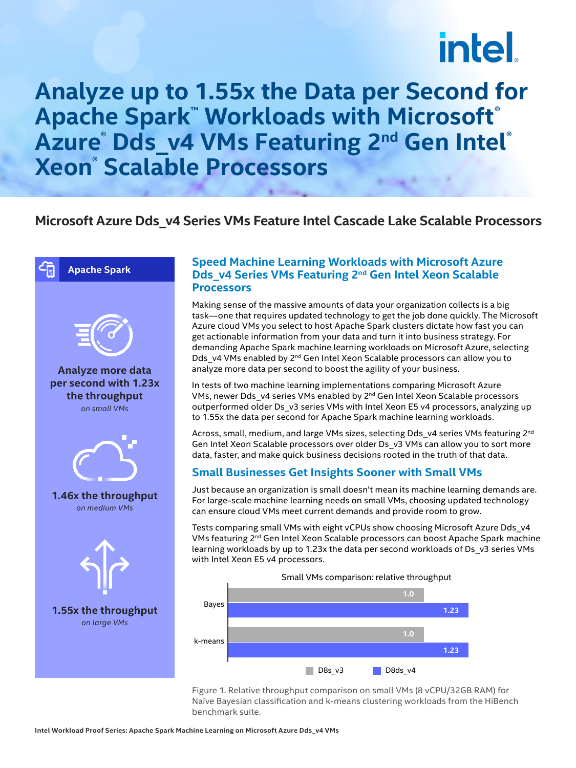# **intel**

### **Analyze up to 1.55x the Data per Second for Apache Spark™ Workloads with Microsoft® Azure® Dds\_v4 VMs Featuring 2nd Gen Intel® Xeon® Scalable Processors**

#### **Microsoft Azure Dds\_v4 Series VMs Feature Intel Cascade Lake Scalable Processors**





**Analyze more data per second with 1.23x the throughput** *on small VMs*



**1.46x the throughput** *on medium VMs*



#### **Speed Machine Learning Workloads with Microsoft Azure Dds\_v4 Series VMs Featuring 2nd Gen Intel Xeon Scalable Processors**

Making sense of the massive amounts of data your organization collects is a big task—one that requires updated technology to get the job done quickly. The Microsoft Azure cloud VMs you select to host Apache Spark clusters dictate how fast you can get actionable information from your data and turn it into business strategy. For demanding Apache Spark machine learning workloads on Microsoft Azure, selecting Dds\_v4 VMs enabled by 2<sup>nd</sup> Gen Intel Xeon Scalable processors can allow you to analyze more data per second to boost the agility of your business.

In tests of two machine learning implementations comparing Microsoft Azure VMs, newer Dds v4 series VMs enabled by 2<sup>nd</sup> Gen Intel Xeon Scalable processors outperformed older Ds\_v3 series VMs with Intel Xeon E5 v4 processors, analyzing up to 1.55x the data per second for Apache Spark machine learning workloads.

Across, small, medium, and large VMs sizes, selecting Dds\_v4 series VMs featuring 2<sup>nd</sup> Gen Intel Xeon Scalable processors over older Ds\_v3 VMs can allow you to sort more data, faster, and make quick business decisions rooted in the truth of that data.

#### **Small Businesses Get Insights Sooner with Small VMs**

Just because an organization is small doesn't mean its machine learning demands are. For large-scale machine learning needs on small VMs, choosing updated technology can ensure cloud VMs meet current demands and provide room to grow.

Tests comparing small VMs with eight vCPUs show choosing Microsoft Azure Dds\_v4 VMs featuring 2<sup>nd</sup> Gen Intel Xeon Scalable processors can boost Apache Spark machine learning workloads by up to 1.23x the data per second workloads of Ds\_v3 series VMs with Intel Xeon E5 v4 processors.



Figure 1. Relative throughput comparison on small VMs (8 vCPU/32GB RAM) for Naïve Bayesian classification and k-means clustering workloads from the HiBench benchmark suite.